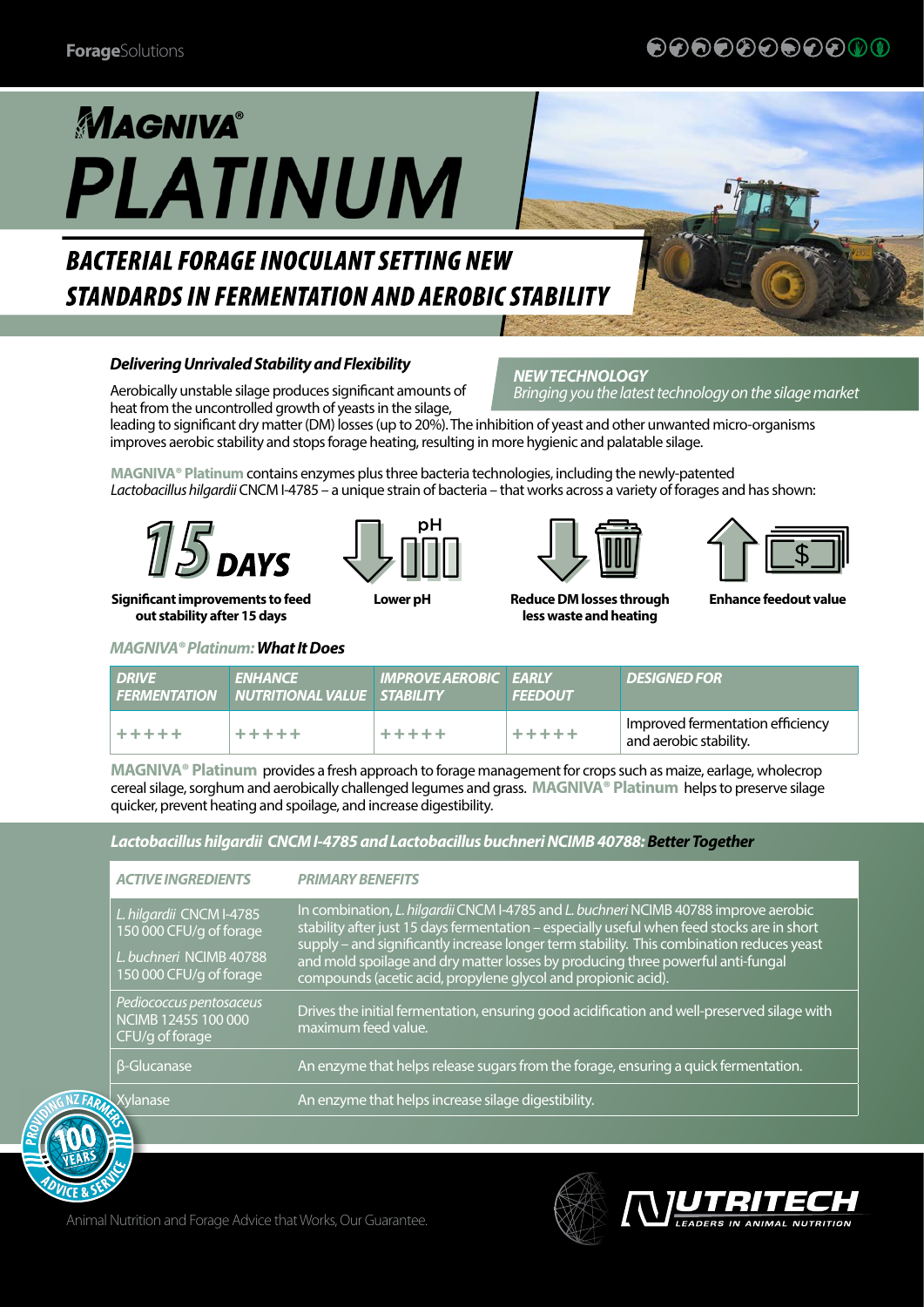## €®®®®®®®®®®

# **MAGNIVA® PLATINUM**

# **BACTERIAL FORAGE INOCULANT SETTING NEW STANDARDS IN FERMENTATION AND AEROBIC STABILITY**

#### *Delivering Unrivaled Stability and Flexibility*

Aerobically unstable silage produces significant amounts of heat from the uncontrolled growth of yeasts in the silage,

#### *NEW TECHNOLOGY Bringing you the latest technology on the silage market*

leading to significant dry matter (DM) losses (up to 20%). The inhibition of yeast and other unwanted micro-organisms improves aerobic stability and stops forage heating, resulting in more hygienic and palatable silage.

**MAGNIVA® Platinum** contains enzymes plus three bacteria technologies, including the newly-patented *Lactobacillus hilgardii* CNCM I-4785 – a unique strain of bacteria – that works across a variety of forages and has shown:



**Significant improvements to feed out stability after 15 days**



**Lower pH Reduce DM losses through** 



**less waste and heating**



**Enhance feedout value**

*MAGNIVA® Platinum: What It Does*

| <b>DRIVE</b> | <b>ENHANCE</b><br><b>FERMENTATION NUTRITIONAL VALUE STABILITY</b> | <b>IMPROVE AEROBIC EARLY</b> | <b>FEEDOUT</b> | <b>DESIGNED FOR</b>                                        |
|--------------|-------------------------------------------------------------------|------------------------------|----------------|------------------------------------------------------------|
| *****        | *****                                                             | *****                        | *****          | Improved fermentation efficiency<br>and aerobic stability. |

**MAGNIVA® Platinum** provides a fresh approach to forage management for crops such as maize, earlage, wholecrop cereal silage, sorghum and aerobically challenged legumes and grass. **MAGNIVA® Platinum** helps to preserve silage quicker, prevent heating and spoilage, and increase digestibility.

*ACTIVE INGREDIENTS PRIMARY BENEFITS L. hilgardii* CNCM I-4785 150 000 CFU/g of forage *L. buchneri* NCIMB 40788 150 000 CFU/g of forage In combination, *L. hilgardii* CNCM I-4785 and *L. buchneri* NCIMB 40788 improve aerobic stability after just 15 days fermentation – especially useful when feed stocks are in short supply – and significantly increase longer term stability. This combination reduces yeast and mold spoilage and dry matter losses by producing three powerful anti-fungal compounds (acetic acid, propylene glycol and propionic acid). *Pediococcus pentosaceus*  NCIMB 12455 100 000 CFU/g of forage Drives the initial fermentation, ensuring good acidification and well-preserved silage with maximum feed value. β-Glucanase An enzyme that helps release sugars from the forage, ensuring a quick fermentation. Xylanase An enzyme that helps increase silage digestibility. *Lactobacillus hilgardii CNCM I-4785 and Lactobacillus buchneri NCIMB 40788: Better Together*



Animal Nutrition and Forage Advice that Works, Our Guarantee.